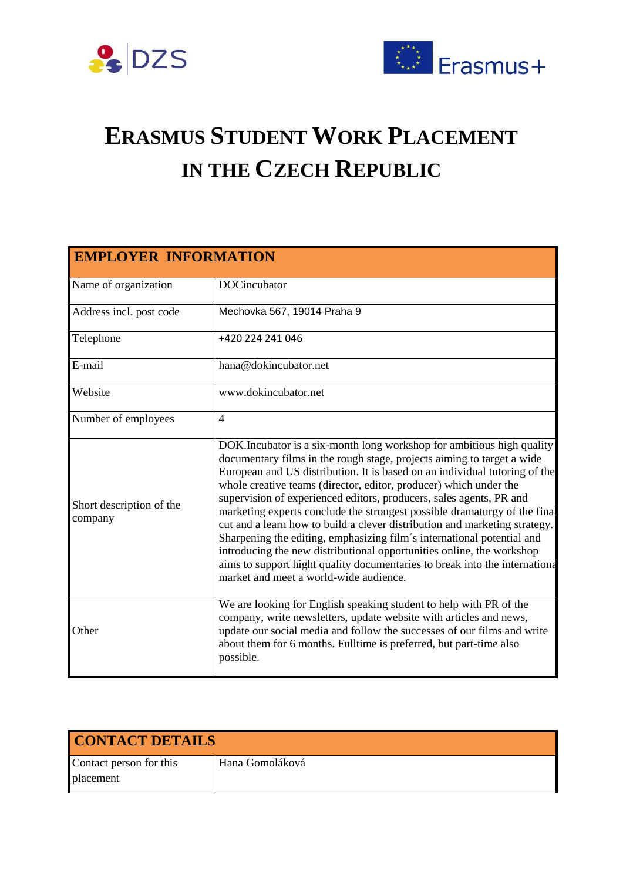



## **ERASMUS STUDENT WORK PLACEMENT IN THE CZECH REPUBLIC**

| <b>EMPLOYER INFORMATION</b>         |                                                                                                                                                                                                                                                                                                                                                                                                                                                                                                                                                                                                                                                                                                                                                                                                                  |  |
|-------------------------------------|------------------------------------------------------------------------------------------------------------------------------------------------------------------------------------------------------------------------------------------------------------------------------------------------------------------------------------------------------------------------------------------------------------------------------------------------------------------------------------------------------------------------------------------------------------------------------------------------------------------------------------------------------------------------------------------------------------------------------------------------------------------------------------------------------------------|--|
| Name of organization                | <b>DOCincubator</b>                                                                                                                                                                                                                                                                                                                                                                                                                                                                                                                                                                                                                                                                                                                                                                                              |  |
| Address incl. post code             | Mechovka 567, 19014 Praha 9                                                                                                                                                                                                                                                                                                                                                                                                                                                                                                                                                                                                                                                                                                                                                                                      |  |
| Telephone                           | +420 224 241 046                                                                                                                                                                                                                                                                                                                                                                                                                                                                                                                                                                                                                                                                                                                                                                                                 |  |
| E-mail                              | hana@dokincubator.net                                                                                                                                                                                                                                                                                                                                                                                                                                                                                                                                                                                                                                                                                                                                                                                            |  |
| Website                             | www.dokincubator.net                                                                                                                                                                                                                                                                                                                                                                                                                                                                                                                                                                                                                                                                                                                                                                                             |  |
| Number of employees                 | $\overline{4}$                                                                                                                                                                                                                                                                                                                                                                                                                                                                                                                                                                                                                                                                                                                                                                                                   |  |
| Short description of the<br>company | DOK. Incubator is a six-month long workshop for ambitious high quality<br>documentary films in the rough stage, projects aiming to target a wide<br>European and US distribution. It is based on an individual tutoring of the<br>whole creative teams (director, editor, producer) which under the<br>supervision of experienced editors, producers, sales agents, PR and<br>marketing experts conclude the strongest possible dramaturgy of the final<br>cut and a learn how to build a clever distribution and marketing strategy.<br>Sharpening the editing, emphasizing film's international potential and<br>introducing the new distributional opportunities online, the workshop<br>aims to support hight quality documentaries to break into the internationa<br>market and meet a world-wide audience. |  |
| Other                               | We are looking for English speaking student to help with PR of the<br>company, write newsletters, update website with articles and news,<br>update our social media and follow the successes of our films and write<br>about them for 6 months. Fulltime is preferred, but part-time also<br>possible.                                                                                                                                                                                                                                                                                                                                                                                                                                                                                                           |  |

| <b>CONTACT DETAILS</b>  |                 |  |
|-------------------------|-----------------|--|
| Contact person for this | Hana Gomoláková |  |
| <b>placement</b>        |                 |  |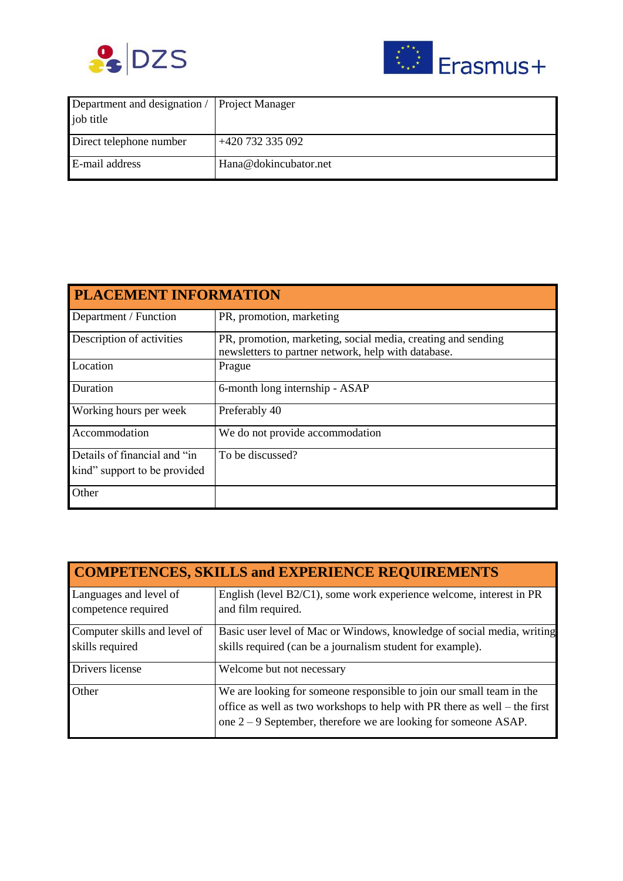



| Department and designation / | Project Manager       |
|------------------------------|-----------------------|
| job title                    |                       |
| Direct telephone number      | +420 732 335 092      |
| E-mail address               | Hana@dokincubator.net |

| <b>PLACEMENT INFORMATION</b> |                                                                                                                     |  |
|------------------------------|---------------------------------------------------------------------------------------------------------------------|--|
| Department / Function        | PR, promotion, marketing                                                                                            |  |
| Description of activities    | PR, promotion, marketing, social media, creating and sending<br>newsletters to partner network, help with database. |  |
| Location                     | Prague                                                                                                              |  |
| Duration                     | 6-month long internship - ASAP                                                                                      |  |
| Working hours per week       | Preferably 40                                                                                                       |  |
| Accommodation                | We do not provide accommodation                                                                                     |  |
| Details of financial and "in | To be discussed?                                                                                                    |  |
| kind" support to be provided |                                                                                                                     |  |
| Other                        |                                                                                                                     |  |

| <b>COMPETENCES, SKILLS and EXPERIENCE REQUIREMENTS</b> |                                                                                                                                                                                                                        |  |
|--------------------------------------------------------|------------------------------------------------------------------------------------------------------------------------------------------------------------------------------------------------------------------------|--|
| Languages and level of<br>competence required          | English (level B2/C1), some work experience welcome, interest in PR<br>and film required.                                                                                                                              |  |
| Computer skills and level of<br>skills required        | Basic user level of Mac or Windows, knowledge of social media, writing<br>skills required (can be a journalism student for example).                                                                                   |  |
| Drivers license                                        | Welcome but not necessary                                                                                                                                                                                              |  |
| Other                                                  | We are looking for someone responsible to join our small team in the<br>office as well as two workshops to help with PR there as well - the first<br>one $2 - 9$ September, therefore we are looking for someone ASAP. |  |